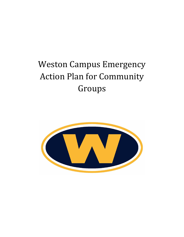# Weston Campus Emergency Action Plan for Community Groups

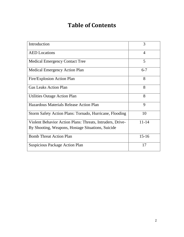# **Table of Contents**

| Introduction                                              | 3              |
|-----------------------------------------------------------|----------------|
| <b>AED</b> Locations                                      | $\overline{4}$ |
| <b>Medical Emergency Contact Tree</b>                     | 5              |
| <b>Medical Emergency Action Plan</b>                      | $6 - 7$        |
| Fire/Explosion Action Plan                                | 8              |
| <b>Gas Leaks Action Plan</b>                              | 8              |
| <b>Utilities Outage Action Plan</b>                       | 8              |
| Hazardous Materials Release Action Plan                   | 9              |
| Storm Safety Action Plans: Tornado, Hurricane, Flooding   | 10             |
| Violent Behavior Action Plans: Threats, Intruders, Drive- | $11 - 14$      |
| By Shooting, Weapons, Hostage Situations, Suicide         |                |
| <b>Bomb Threat Action Plan</b>                            | $15 - 16$      |
| <b>Suspicious Package Action Plan</b>                     | 17             |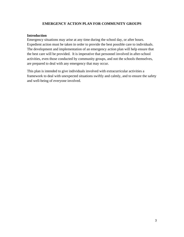### **EMERGENCY ACTION PLAN FOR COMMUNITY GROUPS**

#### **Introduction**

Emergency situations may arise at any time during the school day, or after hours. Expedient action must be taken in order to provide the best possible care to individuals. The development and implementation of an emergency action plan will help ensure that the best care will be provided. It is imperative that personnel involved in after-school activities, even those conducted by community groups, and not the schools themselves, are prepared to deal with any emergency that may occur.

This plan is intended to give individuals involved with extracurricular activities a framework to deal with unexpected situations swiftly and calmly, and to ensure the safety and well-being of everyone involved.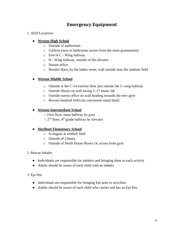### **Emergency Equipment**

### 1. AED Locations

### ● **Weston High School**

- o Outside of auditorium
- o Galleria (next to bathrooms across from the main gymnasium)
- $\circ$  End of C Wing hallway
- o H Wing hallway, outside of the elevator
- o Nurses office
- o Booster Barn, by the ladies room, wall outside near the stadium field

### ● **Weston Middle School**

- o Outside at the C-14 exterior door just outside the G wing hallway
- o Outside library on wall facing C-17 music lab
- o Outside nurses office on wall heading towards the new gym
- o Revson baseball field (on concession stand shed)

### ● **Weston Intermediate School**

- First floor, main hallway by gym
- $\circ$  2<sup>nd</sup> floor, 4<sup>th</sup> grade hallway by elevator

### ● **Hurlbutt Elementary School**

- o In dugout at softball field
- o Outside of Library
- o Outside of North House Room 14, across from gym
- 2. Rescue Inhaler
	- Individuals are responsible for inhalers and bringing them to each activity
	- Adults should be aware of each child with an inhaler

### 3. Epi Pen

- Individuals are responsible for bringing Epi pens to activities
- Adults should be aware of each child who carries and has an Epi Pen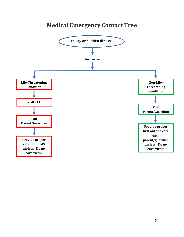## **Medical Emergency Contact Tree**

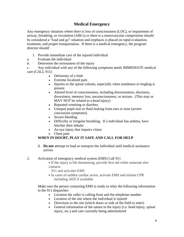### **Medical Emergency**

Any emergency situation where there is loss of consciousness (LOC), or impairment of airway, breathing, or circulation (ABCs) or there is a neurovascular compromise should be considered a "load and go" situation and emphasis is placed on rapid evaluation, treatment, and proper transportation. If there is a medical emergency, the program director should:

- 1. Provide immediate care of the injured individual
- a. Evaluate the individual
- b. Determine the seriousness of the injury
- c. Any individual with any of the following symptoms needs IMMEDIATE medical care (CALL 911)
	- Deformity of a limb
	- Extreme localized pain
	- Injuries to the spinal column, especially when numbness or tingling is present
	- Altered level of consciousness, including disorientation, dizziness, drowsiness, memory loss, unconsciousness, or seizure. (This may or MAY NOT be related to a head injury)
	- Repeated vomiting or diarrhea
	- Unequal pupil size or fluid leaking from ears or nose (severe concussion symptoms)
	- Severe bleeding
	- Difficulty or irregular breathing. If a individual has asthma, have him/her their inhaler
	- An eye injury that impairs vision
	- Chest pain

### **WHEN IN DOUBT, PLAY IT SAFE AND CALL FOR HELP**

d. **Do not** attempt to load or transport the individual until medical assistance arrives

2. Activation of emergency medical system (EMS) Call 911

- ⦁ If the injury is life threatening, provide first aid while someone else contacts
	- 911 and activates EMS
- ⦁ In cases of sudden cardiac arrest, activate EMS and initiate CPR including AED if available

Make sure the person contacting EMS is ready to relay the following information to the 911 dispatcher:

- Location the caller is calling from and the telephone number
- Location of the site where the individual is injured
- Directions to the site (which doors or side of the field to enter)
- General information of the nature to the injury (i.e. head injury, spinal injury, etc.) and care currently being administered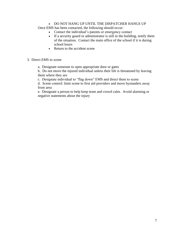#### • DO NOT HANG UP UNTIL THE DISPATCHER HANGS UP

Once EMS has been contacted, the following should occur:

- Contact the individual's parents or emergency contact
- If a security guard or administrator is still in the building, notify them of the situation. Contact the main office of the school if it is during school hours
- Return to the accident scene
- 3. Direct EMS to scene
	- a. Designate someone to open appropriate door or gates

b. Do not move the injured individual unless their life is threatened by leaving them where they are

c. Designate individual to "flag down" EMS and direct them to scene

d. Scene control: limit scene to first aid providers and move bystanders away from area

e. Designate a person to help keep team and crowd calm. Avoid alarming or negative statements about the injury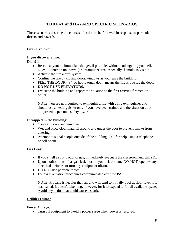### **THREAT and HAZARD SPECIFIC SCENARIOS**

These scenarios describe the courses of action to be followed in response to particular threats and hazards.

### **Fire / Explosion**

#### **If you discover a fire: Dial 911**

- Rescue anyone in immediate danger, if possible, without endangering yourself. NEVER enter an unknown (or unfamiliar) area, especially if smoke is visible
- Activate the fire alarm system.
- Confine the fire by closing doors/windows as you leave the building,
- FEEL THE DOOR a "too hot to touch door" means the fire is outside the door.
- **DO NOT USE ELEVATORS.**
- Evacuate the building and report the situation to the first arriving firemen or police.

NOTE: you are not required to extinguish a fire with a fire extinguisher and should use an extinguisher only if you have been trained and the situation does not present a personal safety hazard.

### **If trapped in the building:**

- Close all doors and windows.
- Wet and place cloth material around and under the door to prevent smoke from entering.
- Attempt to signal people outside of the building. Call for help using a telephone or cell phone.

### **Gas Leak**

- If you smell a strong odor of gas, immediately evacuate the classroom and call 911.
- Upon notification of a gas leak not in your classroom, DO NOT operate any electrical switches or turn any equipment off/on.
- DO NOT use portable radios.
- Follow evacuation procedures communicated over the PA.

NOTE: Propane is heavier than air and will tend to initially pool at floor level if it has leaked. It doesn't take long, however, for it to expand to fill all available space. Avoid any action that could cause a spark.

### **Utilities Outage**

#### **Power Outage:**

● Turn off equipment to avoid a power surge when power is restored.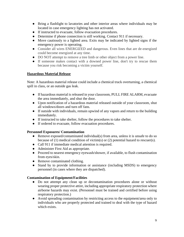- Bring a flashlight to lavatories and other interior areas where individuals may be located in case emergency lighting has not activated.
- If instructed to evacuate, follow evacuation procedures.
- Determine if phone connection is still working. Contact 911 if necessary.
- Move cautiously to a lighted area. Exits may be indicated by lighted signs if the emergency power is operating.
- Consider all wires ENERGIZED and dangerous. Even lines that are de-energized could become energized at any time.
- DO NOT attempt to remove a tree limb or other object from a power line.
- If someone makes contact with a downed power line, don't try to rescue them because you risk becoming a victim yourself.

### **Hazardous Material Release**

Note: A hazardous material release could include a chemical truck overturning, a chemical spill in class, or an outside gas leak.

- If hazardous material is released in your classroom, PULL FIRE ALARM, evacuate the area immediately, and shut the door.
- Upon notification of a hazardous material released outside of your classroom, shut all windows/doors and turn off fans.
- If outside with individuals, remain upwind of any vapors and return to the building immediately.
- If instructed to take shelter, follow the procedures to take shelter.
- If ordered to evacuate, follow evacuation procedures.

### **Personnel Exposures/ Contamination**

- Remove exposed/contaminated individual(s) from area, unless it is unsafe to do so because of (1) medical condition of victim(s) or (2) potential hazard to rescuer(s).
- Call 911 if immediate medical attention is required.
- Administer First Aid as appropriate.
- Proceed to nearest emergency eyewash/shower, if available, to flush contamination from eyes/skin.
- Remove contaminated clothing.
- Stand by to provide information or assistance (including MSDS) to emergency personnel (in cases where they are dispatched).

### **Contamination of Equipment/Facilities**

- Do not attempt any clean up or decontamination procedures alone or without wearing proper protective attire, including appropriate respiratory protection where airborne hazards may exist. (Personnel must be trained and certified before using respiratory protection.)
- Avoid spreading contamination by restricting access to the equipment/area only to individuals who are properly protected and trained to deal with the type of hazard which exists.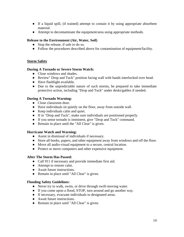- If a liquid spill, (if trained) attempt to contain it by using appropriate absorbent material.
- Attempt to decontaminate the equipment/area using appropriate methods.

### **Release to the Environment (Air, Water, Soil)**

- Stop the release, if safe to do so.
- Follow the procedures described above for contamination of equipment/facility.

### **Storm Safety**

#### **During A Tornado or Severe Storm Watch:**

- Close windows and shades.
- Review" Drop and Tuck" position facing wall with hands interlocked over head.
- Have flashlight available.
- Due to the unpredictable nature of such storms, be prepared to take immediate protective action, including "Drop and Tuck" under desks/gables if needed.

### **During A Tornado Warning:**

- Close classroom door.
- Have individuals sit quietly on the floor, away from outside wall.
- Keep individuals calm and quiet.
- If in "Drop and Tuck", make sure individuals are positioned properly.
- If you sense tornado is imminent, give "Drop and Tuck" command.
- Remain in place until the "All Clear" is given.

### **Hurricane Watch and Warning:**

- Assist in dismissal of individuals if necessary.
- Store all books, papers, and other equipment away from windows and off the floor.
- Move all audio-visual equipment to a secure, central location.
- Protect or move computers and other expensive equipment.

### **After The Storm Has Passed:**

- Call 911 if necessary and provide immediate first aid.
- Attempt to restore calm.
- Await future instructions.
- Remain in place until "All Clear" is given.

### **Flooding Safety Guidelines:**

- Never try to walk, swim, or drive through swift-moving water.
- If you come upon a flood, STOP, turn around and go another way.
- If necessary, evacuate individuals to designated areas.
- Await future instructions.
- Remain in place until "All Clear" is given.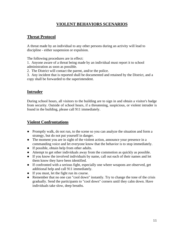### **VIOLENT BEHAVIORS SCENARIOS**

### **Threat Protocol**

A threat made by an individual to any other persons during an activity will lead to discipline - either suspension or expulsion.

The following procedures are in effect:

1. Anyone aware of a threat being made by an individual must report it to school administration as soon as possible.

2. The District will contact the parent, and/or the police.

3. Any incident that is reported shall be documented and retained by the District, and a copy shall be forwarded to the superintendent.

### **Intruder**

During school hours, all visitors to the building are to sign in and obtain a visitor's badge from security. Outside of school hours, if a threatening, suspicious, or violent intruder is found in the building, please call 911 immediately.

### **Violent Confrontations**

- Promptly walk, do not run, to the scene so you can analyze the situation and form a strategy, but do not put yourself in danger.
- The moment you are in sight of the violent action, announce your presence in a commanding voice and let everyone know that the behavior is to stop immediately.
- If possible, obtain help from other adults.
- Attempt to get other individuals away from the commotion as quickly as possible.
- If you know the involved individuals by name, call out each of their names and let them know they have been identified.
- If confronted with a serious fight, especially one where weapons are observed, get additional help and call 911 immediately.
- If you must, let the fight run its course.
- Remember that no one can "cool down" instantly. Try to change the tone of the crisis gradually. Send the participants to "cool down" corners until they calm down. Have individuals take slow, deep breaths.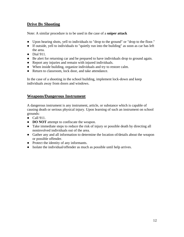### **Drive By Shooting**

Note: A similar procedure is to be used in the case of a **sniper attack**

- Upon hearing shots, yell to individuals to "drop to the ground" or "drop to the floor."
- If outside, yell to individuals to "quietly run into the building" as soon as car has left the area.
- Dial 911.
- Be alert for returning car and be prepared to have individuals drop to ground again.
- Report any injuries and remain with injured individuals.
- When inside building, organize individuals and try to restore calm.
- Return to classroom, lock door, and take attendance.

In the case of a shooting in the school building, implement lock-down and keep individuals away from doors and windows.

### **Weapons/Dangerous Instrument**

A dangerous instrument is any instrument, article, or substance which is capable of causing death or serious physical injury. Upon learning of such an instrument on school grounds:

- Call 911.
- **DO NOT** attempt to confiscate the weapon.
- Take immediate steps to reduce the risk of injury or possible death by directing all noninvolved individuals out of the area.
- Gather any and all information to determine the location of/details about the weapon or possible offender.
- Protect the identity of any informants.
- Isolate the individual/offender as much as possible until help arrives.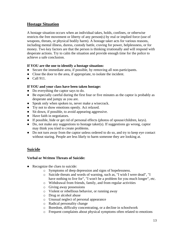### **Hostage Situation**

A hostage situation occurs when an individual takes, holds, confines, or otherwise restricts the free movement or liberty of any person(s) by real or implied force (use of weapons, threats, or physical bodily harm). A hostage taker acts for various reasons, including mental illness, duress, custody battle, craving for power, helplessness, or for money. Two key factors are that the person is thinking irrationally and will respond with desperate actions. Try to calm the situation and provide enough time for the police to achieve a safe conclusion.

### **If YOU are the one to identify a hostage situation:**

- Secure the immediate area, if possible, by removing all non-participants.
- Close the door to the area, if appropriate, to isolate the incident.
- Call 911.

### **If YOU and your class have been taken hostage:**

- Do everything the captor says to do.
- Be especially careful during the first four or five minutes as the captor is probably as desperate and jumpy as you are.
- Speak only when spoken to, never make a wisecrack.
- Try not to show emotions openly. Act relaxed.
- Sit down, if possible, to avoid appearing aggressive.
- Have faith in negotiators.
- If possible, hide or get rid of personal effects (photos of spouse/children, keys).
- Do, not make any suggestions to hostage taker(s). If suggestions go wrong, captor may think you tried to create problems.
- Do not turn away from the captor unless ordered to do so, and try to keep eye contact without staring. People are less likely to harm someone they are looking at.

### **Suicide**

### **Verbal or Written Threats of Suicide:**

- Recognize the clues to suicide:
	- o Symptoms of deep depression and signs of hopelessness.
	- o Suicide threats and words of warning, such as, "I wish I were dead", "I have nothing to live for", "I won't be a problem for you much longer", etc.
	- o Withdrawal from friends, family, and from regular activities
	- o Giving away possessions
	- o Violent or rebellious behavior, or running away
	- o Drug or alcohol abuse
	- o Unusual neglect of personal appearance
	- o Radical personality change
	- o Boredom, difficulty concentrating, or a decline in schoolwork
	- o Frequent complaints about physical symptoms often related to emotions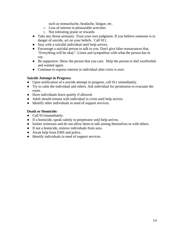such as stomachache, headache, fatigue, etc.

- o Loss of interest in pleasurable activities
- o Not tolerating praise or rewards
- Take any threat seriously. Trust your own judgment. If you believe someone is in danger of suicide, act on your beliefs. Call 911.
- Stay with a suicidal individual until help arrives.
- Encourage a suicidal person to talk to you. Don't give false reassurances that, "Everything will be okay". Listen and sympathize with what the person has to say.
- Be supportive. Show the person that you care. Help the person to feel worthwhile and wanted again.
- Continue to express interest in individual after crisis is over.

#### **Suicide Attempt in Progress:**

- Upon notification of a suicide attempt in progress, call 911 immediately.
- Try to calm the individual and others. Ask individual for permission to evacuate the room.
- Have individuals leave quietly if allowed.
- Adult should remain with individual in crisis until help arrives.
- Identify other individuals in need of support services.

### **Death or Homicide:**

- Call 911immediately.
- If a homicide, speak calmly to perpetrator until help arrives.
- Isolate witnesses and do not allow them to talk among themselves or with others.
- If not a homicide, remove individuals from area.
- Await help from EMS and police.
- Identify individuals in need of support services.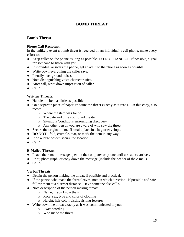### **BOMB THREAT**

### **Bomb Threat**

### **Phone Call Recipient:**

In the unlikely event a bomb threat is received on an individual's cell phone, make every effort to:

- Keep caller on the phone as long as possible. DO NOT HANG UP. If possible, signal for someone to listen with you.
- If individual answers the phone, get an adult to the phone as soon as possible.
- Write down everything the caller says.
- Identify background noises.
- Note distinguishing voice characteristics.
- After call, write down impression of caller.
- Call 911.

### **Written Threats:**

- Handle the item as little as possible.
- On a separate piece of paper, re-write the threat exactly as it reads. On this copy, also record:
	- o Where the item was found
	- o The date and time you found the item
	- o Situations/conditions surrounding discovery
	- o Any other person you are aware of who saw the threat
- Secure the original item. If small, place in a bag or envelope.
- **DO NOT** fold, crumple, tear, or mark the item in any way.
- If on a large object, secure the location.
- Call 911.

### **E-Mailed Threats:**

- Leave the e-mail message open on the computer or phone until assistance arrives.
- Print, photograph, or copy down the message (include the header of the e-mail).
- Call 911.

### **Verbal Threats:**

- Detain the person making the threat, if possible and practical.
- If the person who made the threat leaves, note in which direction. If possible and safe, follow them at a discreet distance. Have someone else call 911.
- Note description of the person making threat:
	- o Name, if you know them
	- o Race, sex, type and color of clothing
	- o Height, hair color, distinguishing features
- Write down the threat exactly as it was communicated to you:
	- o Exact wording
	- o Who made the threat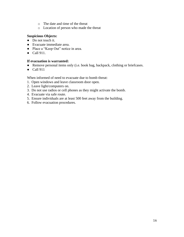- o The date and time of the threat
- o Location of person who made the threat

#### **Suspicious Objects:**

- Do not touch it.
- Evacuate immediate area.
- Place a "Keep Out" notice in area.
- Call 911.

#### **If evacuation is warranted:**

- Remove personal items only (i.e. book bag, backpack, clothing or briefcases.
- Call 911

When informed of need to evacuate due to bomb threat:

- 1. Open windows and leave classroom door open.
- 2. Leave light/computers on.
- 3. Do not use radios or cell phones as they might activate the bomb.
- 4. Evacuate via safe route.
- 5. Ensure individuals are at least 500 feet away from the building.
- 6. Follow evacuation procedures.